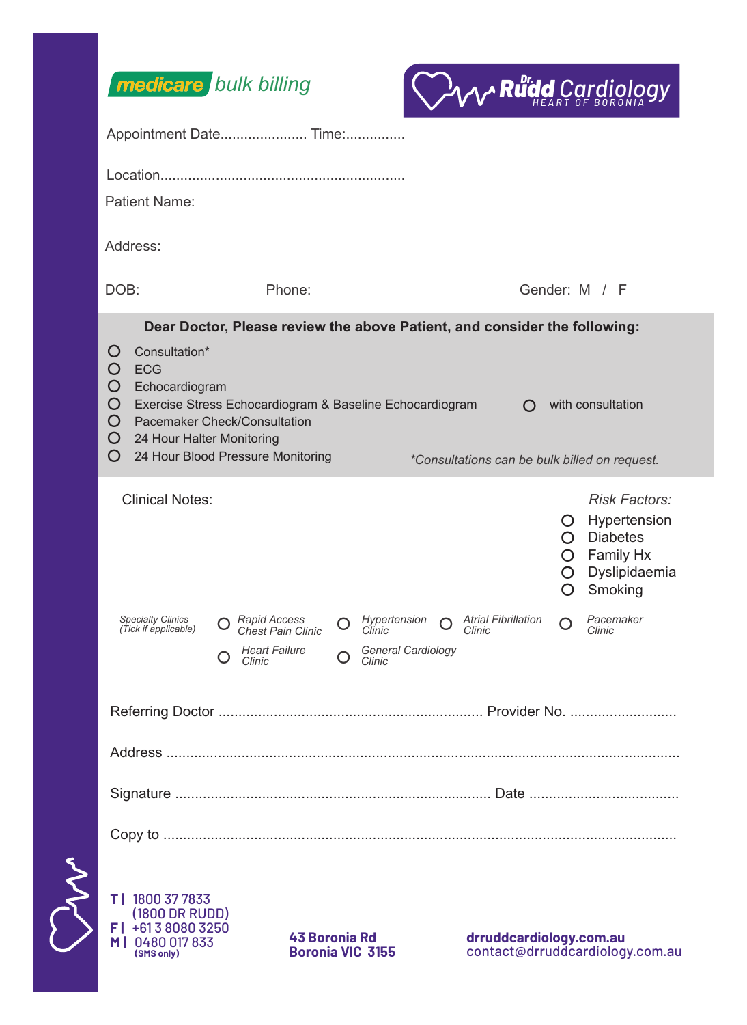



|  | Appointment Date Time:                                                                                                                                                                                                                                                                                                                                                                                               |                                                                                                                                                   |                                                                                                                                                                                                        |
|--|----------------------------------------------------------------------------------------------------------------------------------------------------------------------------------------------------------------------------------------------------------------------------------------------------------------------------------------------------------------------------------------------------------------------|---------------------------------------------------------------------------------------------------------------------------------------------------|--------------------------------------------------------------------------------------------------------------------------------------------------------------------------------------------------------|
|  |                                                                                                                                                                                                                                                                                                                                                                                                                      |                                                                                                                                                   |                                                                                                                                                                                                        |
|  | Patient Name:                                                                                                                                                                                                                                                                                                                                                                                                        |                                                                                                                                                   |                                                                                                                                                                                                        |
|  | Address:                                                                                                                                                                                                                                                                                                                                                                                                             |                                                                                                                                                   |                                                                                                                                                                                                        |
|  | DOB:                                                                                                                                                                                                                                                                                                                                                                                                                 | Phone:                                                                                                                                            | Gender: M / F                                                                                                                                                                                          |
|  | Dear Doctor, Please review the above Patient, and consider the following:<br>Consultation*<br>$\Omega$<br>O<br><b>ECG</b><br>O<br>Echocardiogram<br>O<br>Exercise Stress Echocardiogram & Baseline Echocardiogram<br>with consultation<br>$\Omega$<br>O<br>Pacemaker Check/Consultation<br>O<br>24 Hour Halter Monitoring<br>O<br>24 Hour Blood Pressure Monitoring<br>*Consultations can be bulk billed on request. |                                                                                                                                                   |                                                                                                                                                                                                        |
|  | <b>Clinical Notes:</b><br>Specialty Clinics<br>(Tick if applicable)<br>O                                                                                                                                                                                                                                                                                                                                             | Hypertension<br>$\bigcap$ Rapid Access<br>∩<br>O<br>Chest Pain Clinic<br>Clinic<br>General Cardiology<br><b>Heart Failure</b><br>Clinic<br>Clinic | <b>Risk Factors:</b><br>O Hypertension<br>$\bigcap$ Diabetes<br>Family Hx<br>$\circ$<br>Dyslipidaemia<br>O.<br>Smoking<br>O<br>Pacemaker<br><b>Atrial Fibrillation</b><br>$\Omega$<br>Clinic<br>Clinic |
|  |                                                                                                                                                                                                                                                                                                                                                                                                                      |                                                                                                                                                   |                                                                                                                                                                                                        |
|  |                                                                                                                                                                                                                                                                                                                                                                                                                      |                                                                                                                                                   |                                                                                                                                                                                                        |
|  |                                                                                                                                                                                                                                                                                                                                                                                                                      |                                                                                                                                                   |                                                                                                                                                                                                        |
|  |                                                                                                                                                                                                                                                                                                                                                                                                                      |                                                                                                                                                   |                                                                                                                                                                                                        |
|  | T   1800 37 7833<br>(1800 DR RUDD)<br>F   +613 8080 3250<br>M   0480 017 833<br>(SMS only)                                                                                                                                                                                                                                                                                                                           | <b>43 Boronia Rd</b><br><b>Boronia VIC 3155</b>                                                                                                   | drruddcardiology.com.au<br>contact@drruddcardiology.com.au                                                                                                                                             |